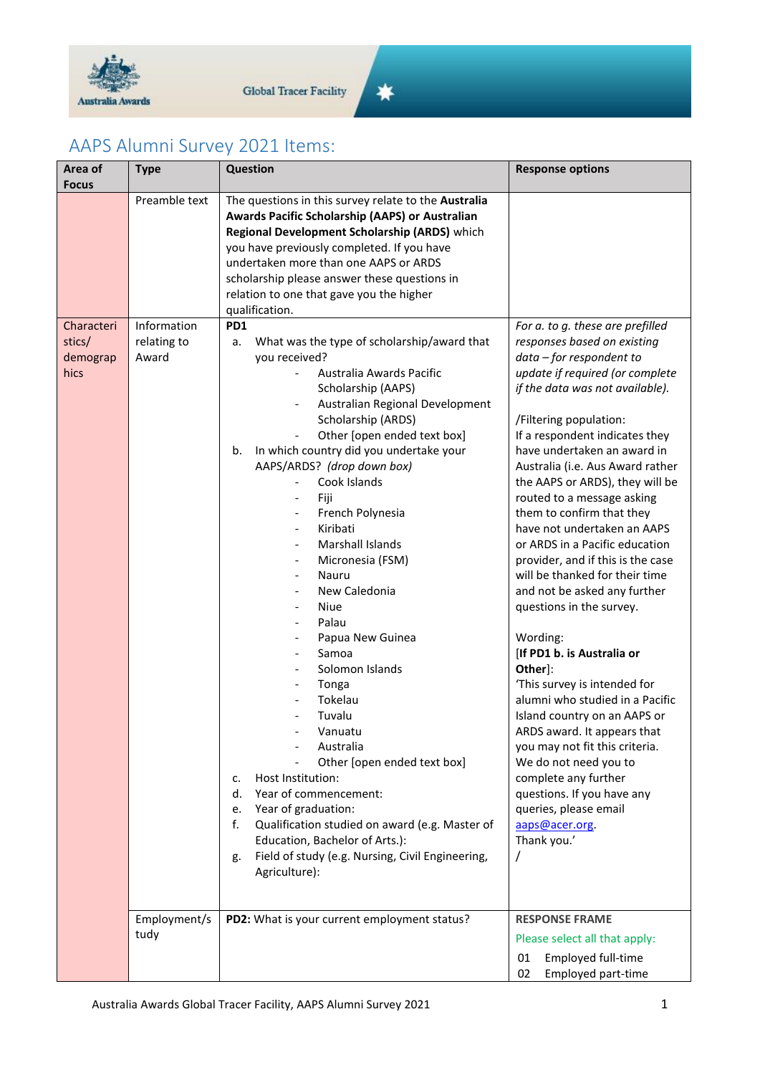

## AAPS Alumni Survey 2021 Items:

| Area of                                          | <b>Type</b>                                          | <b>Question</b>                                                                                                                                                                                                                                                                                                                                                                                                                                                                                                                                                                                                                                                                                                                                                                                                                                                                          | <b>Response options</b>                                                                                                                                                                                                                                                                                                                                                                                                                                                                                                                                                                                                                                                                                                                                                                                                                                               |
|--------------------------------------------------|------------------------------------------------------|------------------------------------------------------------------------------------------------------------------------------------------------------------------------------------------------------------------------------------------------------------------------------------------------------------------------------------------------------------------------------------------------------------------------------------------------------------------------------------------------------------------------------------------------------------------------------------------------------------------------------------------------------------------------------------------------------------------------------------------------------------------------------------------------------------------------------------------------------------------------------------------|-----------------------------------------------------------------------------------------------------------------------------------------------------------------------------------------------------------------------------------------------------------------------------------------------------------------------------------------------------------------------------------------------------------------------------------------------------------------------------------------------------------------------------------------------------------------------------------------------------------------------------------------------------------------------------------------------------------------------------------------------------------------------------------------------------------------------------------------------------------------------|
| <b>Focus</b><br>Characteri<br>stics/<br>demograp | Preamble text<br>Information<br>relating to<br>Award | The questions in this survey relate to the Australia<br>Awards Pacific Scholarship (AAPS) or Australian<br>Regional Development Scholarship (ARDS) which<br>you have previously completed. If you have<br>undertaken more than one AAPS or ARDS<br>scholarship please answer these questions in<br>relation to one that gave you the higher<br>qualification.<br>PD1<br>What was the type of scholarship/award that<br>а.<br>you received?                                                                                                                                                                                                                                                                                                                                                                                                                                               | For a. to g. these are prefilled<br>responses based on existing<br>data - for respondent to                                                                                                                                                                                                                                                                                                                                                                                                                                                                                                                                                                                                                                                                                                                                                                           |
| hics                                             |                                                      | Australia Awards Pacific<br>Scholarship (AAPS)<br>Australian Regional Development<br>Scholarship (ARDS)<br>Other [open ended text box]<br>In which country did you undertake your<br>b.<br>AAPS/ARDS? (drop down box)<br>Cook Islands<br>Fiji<br>$\overline{\phantom{a}}$<br>French Polynesia<br>$\overline{\phantom{a}}$<br>Kiribati<br>$\overline{\phantom{a}}$<br>Marshall Islands<br>Micronesia (FSM)<br>Nauru<br>$\overline{\phantom{a}}$<br>New Caledonia<br><b>Niue</b><br>Palau<br>Papua New Guinea<br>Samoa<br>Solomon Islands<br>Tonga<br>Tokelau<br>Tuvalu<br>Vanuatu<br>Australia<br>Other [open ended text box]<br>Host Institution:<br>c.<br>Year of commencement:<br>d.<br>Year of graduation:<br>e.<br>f.<br>Qualification studied on award (e.g. Master of<br>Education, Bachelor of Arts.):<br>Field of study (e.g. Nursing, Civil Engineering,<br>g.<br>Agriculture): | update if required (or complete<br>if the data was not available).<br>/Filtering population:<br>If a respondent indicates they<br>have undertaken an award in<br>Australia (i.e. Aus Award rather<br>the AAPS or ARDS), they will be<br>routed to a message asking<br>them to confirm that they<br>have not undertaken an AAPS<br>or ARDS in a Pacific education<br>provider, and if this is the case<br>will be thanked for their time<br>and not be asked any further<br>questions in the survey.<br>Wording:<br>[If PD1 b. is Australia or<br>Other]:<br>'This survey is intended for<br>alumni who studied in a Pacific<br>Island country on an AAPS or<br>ARDS award. It appears that<br>you may not fit this criteria.<br>We do not need you to<br>complete any further<br>questions. If you have any<br>queries, please email<br>aaps@acer.org.<br>Thank you.' |
|                                                  | Employment/s<br>tudy                                 | PD2: What is your current employment status?                                                                                                                                                                                                                                                                                                                                                                                                                                                                                                                                                                                                                                                                                                                                                                                                                                             | <b>RESPONSE FRAME</b><br>Please select all that apply:<br>Employed full-time<br>01<br>Employed part-time<br>02                                                                                                                                                                                                                                                                                                                                                                                                                                                                                                                                                                                                                                                                                                                                                        |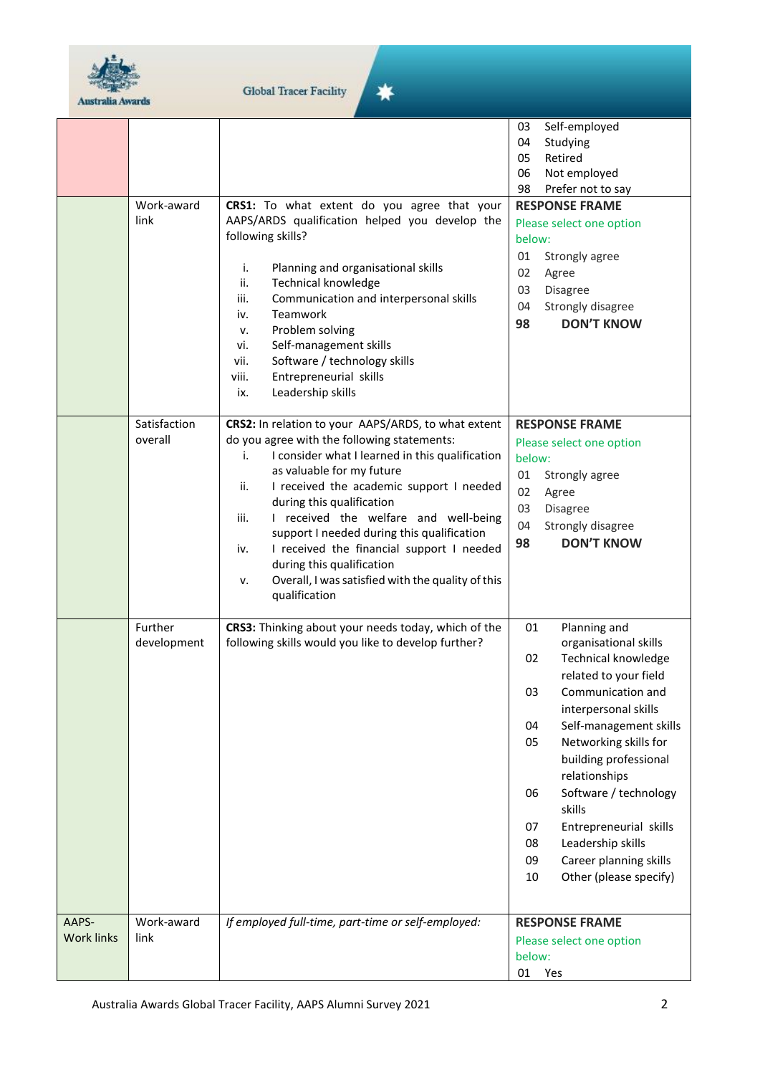

 $\bigstar$ 

|                            |                         |                                                                                                                                                                                                                                                                                                                                                                                                                                                                                                                                      | Self-employed<br>03<br>04<br>Studying<br>Retired<br>05                                                                                                                                                                                                                                                                                                                                                                            |
|----------------------------|-------------------------|--------------------------------------------------------------------------------------------------------------------------------------------------------------------------------------------------------------------------------------------------------------------------------------------------------------------------------------------------------------------------------------------------------------------------------------------------------------------------------------------------------------------------------------|-----------------------------------------------------------------------------------------------------------------------------------------------------------------------------------------------------------------------------------------------------------------------------------------------------------------------------------------------------------------------------------------------------------------------------------|
|                            |                         |                                                                                                                                                                                                                                                                                                                                                                                                                                                                                                                                      | 06<br>Not employed<br>98<br>Prefer not to say                                                                                                                                                                                                                                                                                                                                                                                     |
|                            | Work-award<br>link      | CRS1: To what extent do you agree that your<br>AAPS/ARDS qualification helped you develop the<br>following skills?<br>Planning and organisational skills<br>i.<br>ii.<br><b>Technical knowledge</b><br>Communication and interpersonal skills<br>iii.<br>Teamwork<br>iv.<br>Problem solving<br>ν.<br>Self-management skills<br>vi.<br>Software / technology skills<br>vii.<br>Entrepreneurial skills<br>viii.<br>Leadership skills<br>ix.                                                                                            | <b>RESPONSE FRAME</b><br>Please select one option<br>below:<br>01<br>Strongly agree<br>02<br>Agree<br>03<br>Disagree<br>Strongly disagree<br>04<br>98<br><b>DON'T KNOW</b>                                                                                                                                                                                                                                                        |
|                            | Satisfaction<br>overall | CRS2: In relation to your AAPS/ARDS, to what extent<br>do you agree with the following statements:<br>I consider what I learned in this qualification<br>i.<br>as valuable for my future<br>I received the academic support I needed<br>ii.<br>during this qualification<br>iii.<br>I received the welfare and well-being<br>support I needed during this qualification<br>I received the financial support I needed<br>iv.<br>during this qualification<br>Overall, I was satisfied with the quality of this<br>ν.<br>qualification | <b>RESPONSE FRAME</b><br>Please select one option<br>below:<br>01<br>Strongly agree<br>02<br>Agree<br>03<br><b>Disagree</b><br>Strongly disagree<br>04<br>98<br><b>DON'T KNOW</b>                                                                                                                                                                                                                                                 |
|                            | Further<br>development  | CRS3: Thinking about your needs today, which of the<br>following skills would you like to develop further?                                                                                                                                                                                                                                                                                                                                                                                                                           | Planning and<br>01<br>organisational skills<br>02<br>Technical knowledge<br>related to your field<br>03<br>Communication and<br>interpersonal skills<br>04<br>Self-management skills<br>Networking skills for<br>05<br>building professional<br>relationships<br>Software / technology<br>06<br>skills<br>Entrepreneurial skills<br>07<br>Leadership skills<br>08<br>09<br>Career planning skills<br>Other (please specify)<br>10 |
| AAPS-<br><b>Work links</b> | Work-award<br>link      | If employed full-time, part-time or self-employed:                                                                                                                                                                                                                                                                                                                                                                                                                                                                                   | <b>RESPONSE FRAME</b><br>Please select one option<br>below:<br>01 Yes                                                                                                                                                                                                                                                                                                                                                             |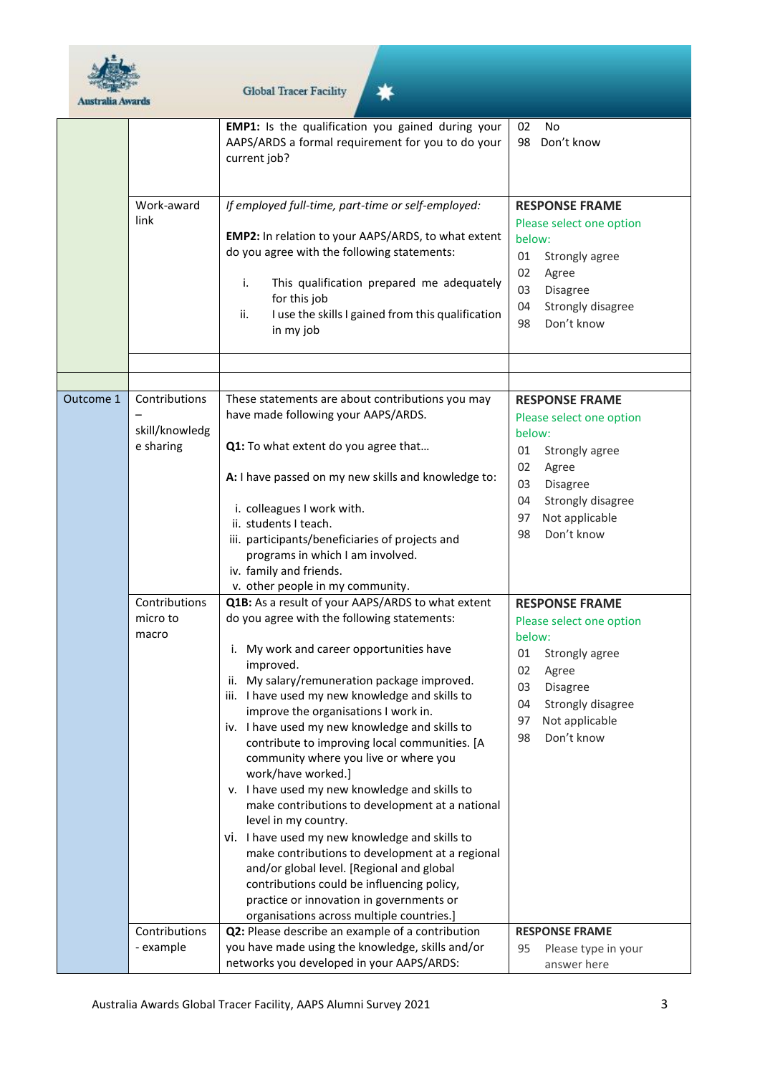

|           |                                              | <b>EMP1:</b> Is the qualification you gained during your<br>AAPS/ARDS a formal requirement for you to do your<br>current job?                                                                                                                                                                                                                                                                                                                                                                                                                                                                                                                                                                                                                                                                                                                                                               | <b>No</b><br>02<br>Don't know<br>98                                                                                                                                                                |
|-----------|----------------------------------------------|---------------------------------------------------------------------------------------------------------------------------------------------------------------------------------------------------------------------------------------------------------------------------------------------------------------------------------------------------------------------------------------------------------------------------------------------------------------------------------------------------------------------------------------------------------------------------------------------------------------------------------------------------------------------------------------------------------------------------------------------------------------------------------------------------------------------------------------------------------------------------------------------|----------------------------------------------------------------------------------------------------------------------------------------------------------------------------------------------------|
|           | Work-award<br>link                           | If employed full-time, part-time or self-employed:<br>EMP2: In relation to your AAPS/ARDS, to what extent<br>do you agree with the following statements:<br>This qualification prepared me adequately<br>i.<br>for this job<br>I use the skills I gained from this qualification<br>ii.<br>in my job                                                                                                                                                                                                                                                                                                                                                                                                                                                                                                                                                                                        | <b>RESPONSE FRAME</b><br>Please select one option<br>below:<br>01<br>Strongly agree<br>02<br>Agree<br>03<br>Disagree<br>04<br>Strongly disagree<br>Don't know<br>98                                |
|           |                                              |                                                                                                                                                                                                                                                                                                                                                                                                                                                                                                                                                                                                                                                                                                                                                                                                                                                                                             |                                                                                                                                                                                                    |
| Outcome 1 | Contributions<br>skill/knowledg<br>e sharing | These statements are about contributions you may<br>have made following your AAPS/ARDS.<br>Q1: To what extent do you agree that                                                                                                                                                                                                                                                                                                                                                                                                                                                                                                                                                                                                                                                                                                                                                             | <b>RESPONSE FRAME</b><br>Please select one option<br>below:<br>01<br>Strongly agree                                                                                                                |
|           |                                              | A: I have passed on my new skills and knowledge to:                                                                                                                                                                                                                                                                                                                                                                                                                                                                                                                                                                                                                                                                                                                                                                                                                                         | 02<br>Agree<br>03<br><b>Disagree</b>                                                                                                                                                               |
|           |                                              | i. colleagues I work with.<br>ii. students I teach.<br>iii. participants/beneficiaries of projects and<br>programs in which I am involved.<br>iv. family and friends.<br>v. other people in my community.                                                                                                                                                                                                                                                                                                                                                                                                                                                                                                                                                                                                                                                                                   | Strongly disagree<br>04<br>Not applicable<br>97<br>Don't know<br>98                                                                                                                                |
|           | Contributions<br>micro to<br>macro           | Q1B: As a result of your AAPS/ARDS to what extent<br>do you agree with the following statements:<br>i. My work and career opportunities have<br>improved.<br>ii. My salary/remuneration package improved.<br>iii. I have used my new knowledge and skills to<br>improve the organisations I work in.<br>iv. I have used my new knowledge and skills to<br>contribute to improving local communities. [A<br>community where you live or where you<br>work/have worked.]<br>v. I have used my new knowledge and skills to<br>make contributions to development at a national<br>level in my country.<br>vi. I have used my new knowledge and skills to<br>make contributions to development at a regional<br>and/or global level. [Regional and global<br>contributions could be influencing policy,<br>practice or innovation in governments or<br>organisations across multiple countries.] | <b>RESPONSE FRAME</b><br>Please select one option<br>below:<br>01<br>Strongly agree<br>02<br>Agree<br>03<br><b>Disagree</b><br>Strongly disagree<br>04<br>97<br>Not applicable<br>Don't know<br>98 |
|           | Contributions<br>- example                   | Q2: Please describe an example of a contribution<br>you have made using the knowledge, skills and/or<br>networks you developed in your AAPS/ARDS:                                                                                                                                                                                                                                                                                                                                                                                                                                                                                                                                                                                                                                                                                                                                           | <b>RESPONSE FRAME</b><br>Please type in your<br>95<br>answer here                                                                                                                                  |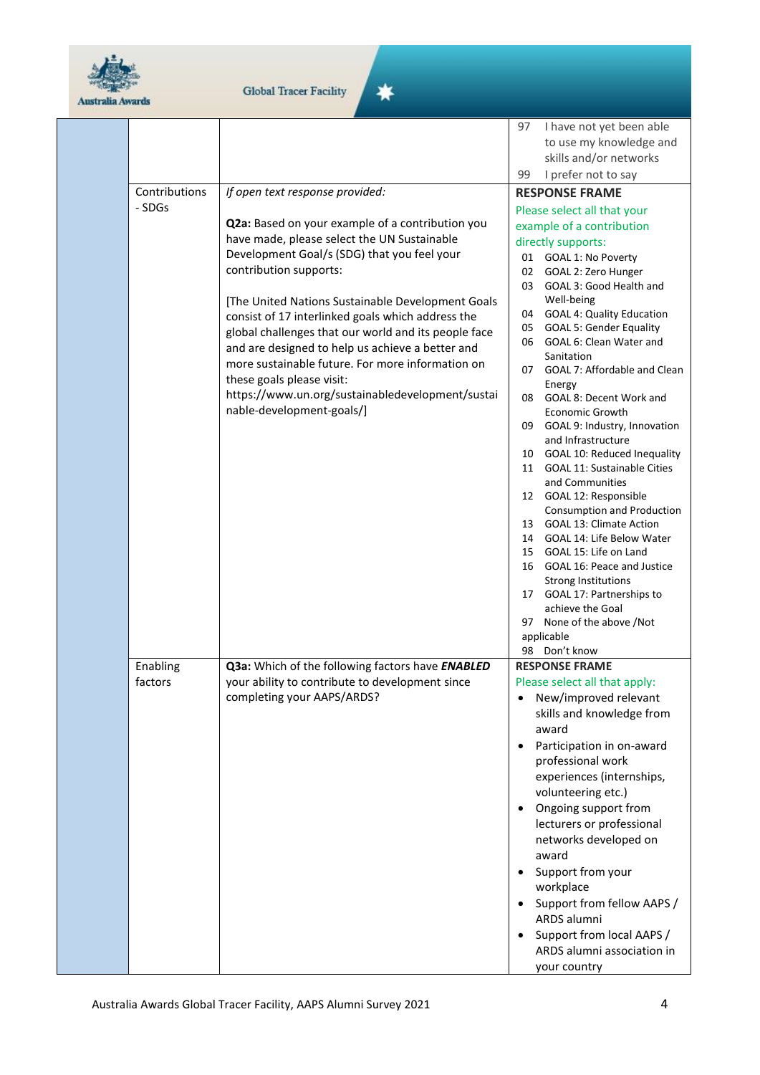

☀

|               |                                                                       | 97        | I have not yet been able                                  |
|---------------|-----------------------------------------------------------------------|-----------|-----------------------------------------------------------|
|               |                                                                       |           | to use my knowledge and                                   |
|               |                                                                       |           | skills and/or networks                                    |
|               |                                                                       | 99        | I prefer not to say                                       |
| Contributions | If open text response provided:                                       |           | <b>RESPONSE FRAME</b>                                     |
| - SDGs        |                                                                       |           | Please select all that your                               |
|               | Q2a: Based on your example of a contribution you                      |           | example of a contribution                                 |
|               | have made, please select the UN Sustainable                           |           | directly supports:                                        |
|               | Development Goal/s (SDG) that you feel your<br>contribution supports: |           | 01 GOAL 1: No Poverty                                     |
|               |                                                                       | 02<br>03  | GOAL 2: Zero Hunger<br>GOAL 3: Good Health and            |
|               | [The United Nations Sustainable Development Goals                     |           | Well-being                                                |
|               | consist of 17 interlinked goals which address the                     | 04        | <b>GOAL 4: Quality Education</b>                          |
|               | global challenges that our world and its people face                  | 05        | <b>GOAL 5: Gender Equality</b>                            |
|               | and are designed to help us achieve a better and                      | 06        | GOAL 6: Clean Water and                                   |
|               | more sustainable future. For more information on                      |           | Sanitation                                                |
|               | these goals please visit:                                             |           | 07 GOAL 7: Affordable and Clean                           |
|               | https://www.un.org/sustainabledevelopment/sustai                      |           | Energy<br>08 GOAL 8: Decent Work and                      |
|               | nable-development-goals/]                                             |           | <b>Economic Growth</b>                                    |
|               |                                                                       |           | 09 GOAL 9: Industry, Innovation                           |
|               |                                                                       |           | and Infrastructure                                        |
|               |                                                                       | 10        | GOAL 10: Reduced Inequality                               |
|               |                                                                       | 11        | <b>GOAL 11: Sustainable Cities</b><br>and Communities     |
|               |                                                                       |           | 12 GOAL 12: Responsible                                   |
|               |                                                                       |           | Consumption and Production                                |
|               |                                                                       |           | 13 GOAL 13: Climate Action                                |
|               |                                                                       | 14        | GOAL 14: Life Below Water                                 |
|               |                                                                       | 15        | GOAL 15: Life on Land                                     |
|               |                                                                       |           | 16 GOAL 16: Peace and Justice                             |
|               |                                                                       |           | <b>Strong Institutions</b><br>17 GOAL 17: Partnerships to |
|               |                                                                       |           | achieve the Goal                                          |
|               |                                                                       | 97        | None of the above /Not                                    |
|               |                                                                       |           | applicable                                                |
|               |                                                                       |           | 98 Don't know                                             |
| Enabling      | Q3a: Which of the following factors have ENABLED                      |           | <b>RESPONSE FRAME</b>                                     |
| factors       | your ability to contribute to development since                       |           | Please select all that apply:                             |
|               | completing your AAPS/ARDS?                                            | $\bullet$ | New/improved relevant                                     |
|               |                                                                       |           | skills and knowledge from                                 |
|               |                                                                       |           | award                                                     |
|               |                                                                       |           | Participation in on-award                                 |
|               |                                                                       |           | professional work<br>experiences (internships,            |
|               |                                                                       |           | volunteering etc.)                                        |
|               |                                                                       |           | Ongoing support from                                      |
|               |                                                                       |           | lecturers or professional                                 |
|               |                                                                       |           | networks developed on                                     |
|               |                                                                       |           | award                                                     |
|               |                                                                       |           | Support from your                                         |
|               |                                                                       |           | workplace                                                 |
|               |                                                                       |           | Support from fellow AAPS /                                |
|               |                                                                       |           | ARDS alumni                                               |
|               |                                                                       |           | Support from local AAPS /                                 |
|               |                                                                       |           | ARDS alumni association in                                |
|               |                                                                       |           | your country                                              |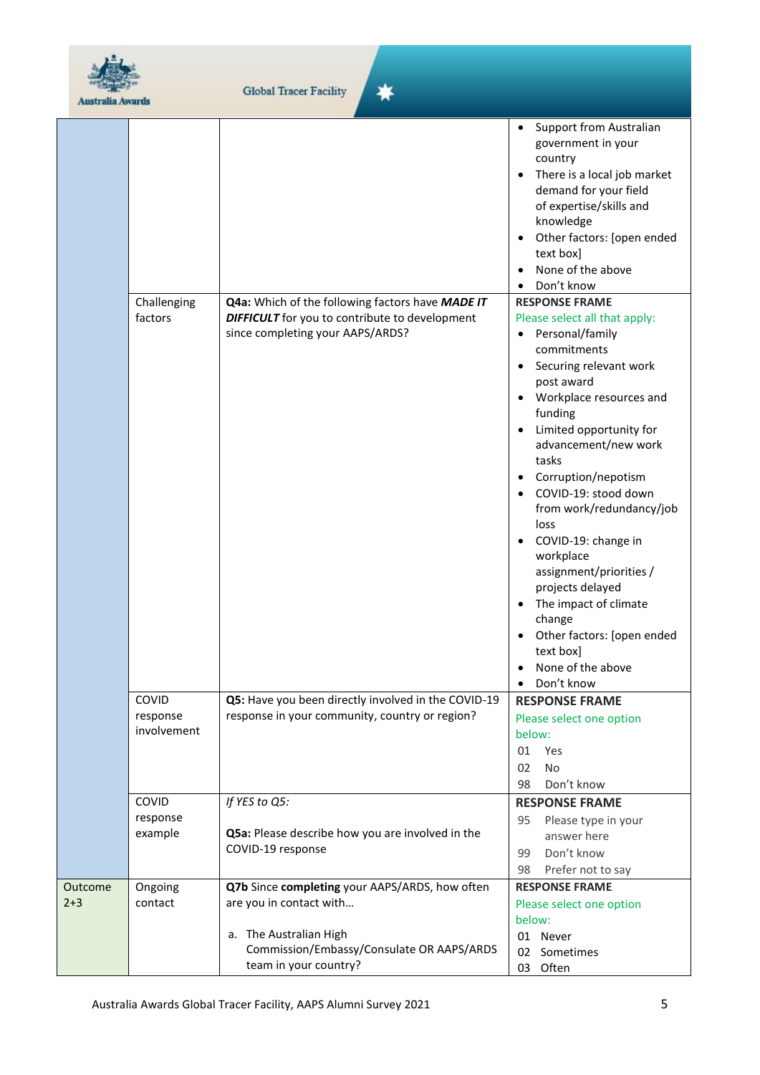

| <b>Australia Awards</b> |                                  |                                                                                                                                                                           |                                                                                                                                                                                                                                                                                                                                                                                                                                                                                                                                                     |
|-------------------------|----------------------------------|---------------------------------------------------------------------------------------------------------------------------------------------------------------------------|-----------------------------------------------------------------------------------------------------------------------------------------------------------------------------------------------------------------------------------------------------------------------------------------------------------------------------------------------------------------------------------------------------------------------------------------------------------------------------------------------------------------------------------------------------|
|                         |                                  |                                                                                                                                                                           | <b>Support from Australian</b><br>government in your<br>country<br>There is a local job market<br>demand for your field<br>of expertise/skills and<br>knowledge<br>Other factors: [open ended<br>text box]<br>None of the above<br>$\bullet$<br>Don't know<br>$\bullet$                                                                                                                                                                                                                                                                             |
|                         | Challenging<br>factors           | Q4a: Which of the following factors have MADE IT<br><b>DIFFICULT</b> for you to contribute to development<br>since completing your AAPS/ARDS?                             | <b>RESPONSE FRAME</b><br>Please select all that apply:<br>Personal/family<br>$\bullet$<br>commitments<br>Securing relevant work<br>post award<br>Workplace resources and<br>funding<br>Limited opportunity for<br>advancement/new work<br>tasks<br>Corruption/nepotism<br>COVID-19: stood down<br>from work/redundancy/job<br>loss<br>COVID-19: change in<br>workplace<br>assignment/priorities /<br>projects delayed<br>The impact of climate<br>change<br>Other factors: [open ended<br>text box]<br>None of the above<br>Don't know<br>$\bullet$ |
|                         | COVID<br>response<br>involvement | Q5: Have you been directly involved in the COVID-19<br>response in your community, country or region?                                                                     | <b>RESPONSE FRAME</b><br>Please select one option<br>below:<br>01<br>Yes<br>No<br>02<br>Don't know<br>98                                                                                                                                                                                                                                                                                                                                                                                                                                            |
|                         | COVID<br>response<br>example     | If YES to Q5:<br>Q5a: Please describe how you are involved in the<br>COVID-19 response                                                                                    | <b>RESPONSE FRAME</b><br>95<br>Please type in your<br>answer here<br>Don't know<br>99<br>98<br>Prefer not to say                                                                                                                                                                                                                                                                                                                                                                                                                                    |
| Outcome<br>$2+3$        | Ongoing<br>contact               | Q7b Since completing your AAPS/ARDS, how often<br>are you in contact with<br>a. The Australian High<br>Commission/Embassy/Consulate OR AAPS/ARDS<br>team in your country? | <b>RESPONSE FRAME</b><br>Please select one option<br>below:<br>01 Never<br>02 Sometimes<br>03 Often                                                                                                                                                                                                                                                                                                                                                                                                                                                 |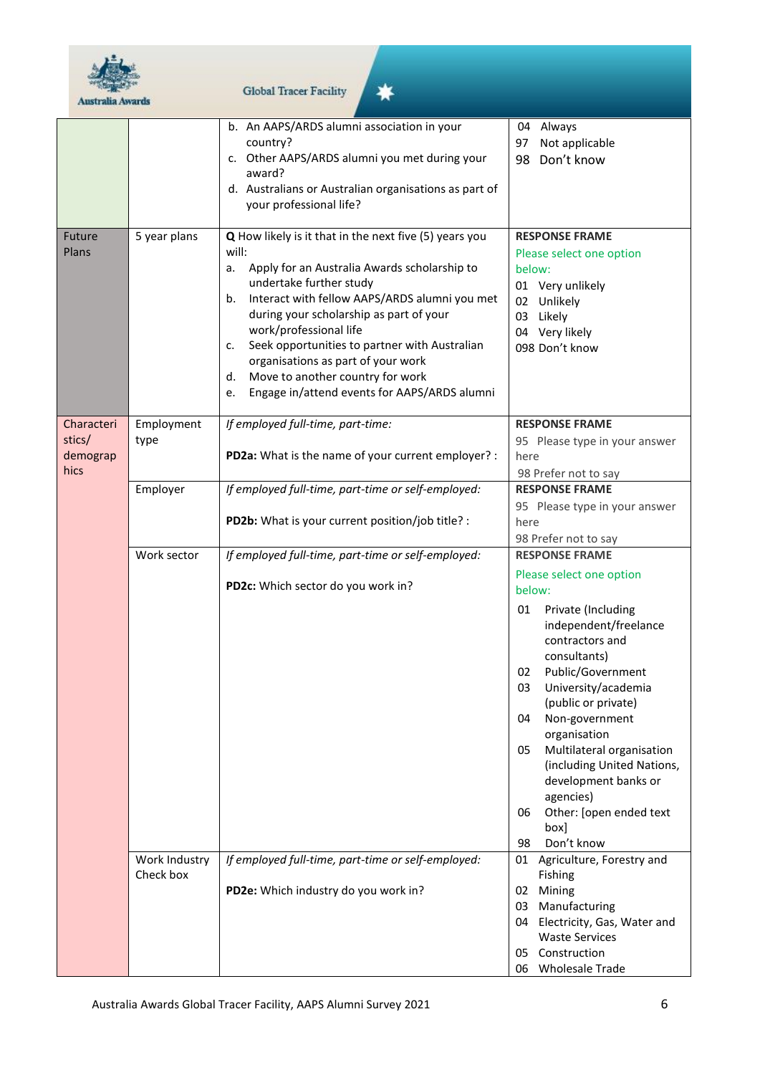

| <b>Australia Awards</b>                  |                            | <b>Global Tracer Facility</b>                                                                                                                                                                                                                                                                                                                                                                                                                                             |                                                                                                                                                                                                                                                                                                                                                                                                                                               |
|------------------------------------------|----------------------------|---------------------------------------------------------------------------------------------------------------------------------------------------------------------------------------------------------------------------------------------------------------------------------------------------------------------------------------------------------------------------------------------------------------------------------------------------------------------------|-----------------------------------------------------------------------------------------------------------------------------------------------------------------------------------------------------------------------------------------------------------------------------------------------------------------------------------------------------------------------------------------------------------------------------------------------|
|                                          |                            | b. An AAPS/ARDS alumni association in your<br>country?<br>c. Other AAPS/ARDS alumni you met during your<br>award?<br>d. Australians or Australian organisations as part of<br>your professional life?                                                                                                                                                                                                                                                                     | Always<br>04<br>Not applicable<br>97<br>98 Don't know                                                                                                                                                                                                                                                                                                                                                                                         |
| Future<br>Plans                          | 5 year plans               | Q How likely is it that in the next five (5) years you<br>will:<br>Apply for an Australia Awards scholarship to<br>a.<br>undertake further study<br>Interact with fellow AAPS/ARDS alumni you met<br>b.<br>during your scholarship as part of your<br>work/professional life<br>Seek opportunities to partner with Australian<br>c.<br>organisations as part of your work<br>Move to another country for work<br>d.<br>Engage in/attend events for AAPS/ARDS alumni<br>e. | <b>RESPONSE FRAME</b><br>Please select one option<br>below:<br>01 Very unlikely<br>02 Unlikely<br>03 Likely<br>04 Very likely<br>098 Don't know                                                                                                                                                                                                                                                                                               |
| Characteri<br>stics/<br>demograp<br>hics | Employment<br>type         | If employed full-time, part-time:<br>PD2a: What is the name of your current employer? :                                                                                                                                                                                                                                                                                                                                                                                   | <b>RESPONSE FRAME</b><br>95 Please type in your answer<br>here<br>98 Prefer not to say                                                                                                                                                                                                                                                                                                                                                        |
|                                          | Employer                   | If employed full-time, part-time or self-employed:<br>PD2b: What is your current position/job title? :                                                                                                                                                                                                                                                                                                                                                                    | <b>RESPONSE FRAME</b><br>95 Please type in your answer<br>here<br>98 Prefer not to say                                                                                                                                                                                                                                                                                                                                                        |
|                                          | Work sector                | If employed full-time, part-time or self-employed:<br>PD2c: Which sector do you work in?                                                                                                                                                                                                                                                                                                                                                                                  | <b>RESPONSE FRAME</b><br>Please select one option<br>below:<br>Private (Including<br>01<br>independent/freelance<br>contractors and<br>consultants)<br>Public/Government<br>02<br>03<br>University/academia<br>(public or private)<br>04<br>Non-government<br>organisation<br>Multilateral organisation<br>05<br>(including United Nations,<br>development banks or<br>agencies)<br>Other: [open ended text<br>06<br>box]<br>98<br>Don't know |
|                                          | Work Industry<br>Check box | If employed full-time, part-time or self-employed:<br>PD2e: Which industry do you work in?                                                                                                                                                                                                                                                                                                                                                                                | 01 Agriculture, Forestry and<br>Fishing<br>02 Mining<br>03 Manufacturing<br>04 Electricity, Gas, Water and<br><b>Waste Services</b><br>Construction<br>05<br>06 Wholesale Trade                                                                                                                                                                                                                                                               |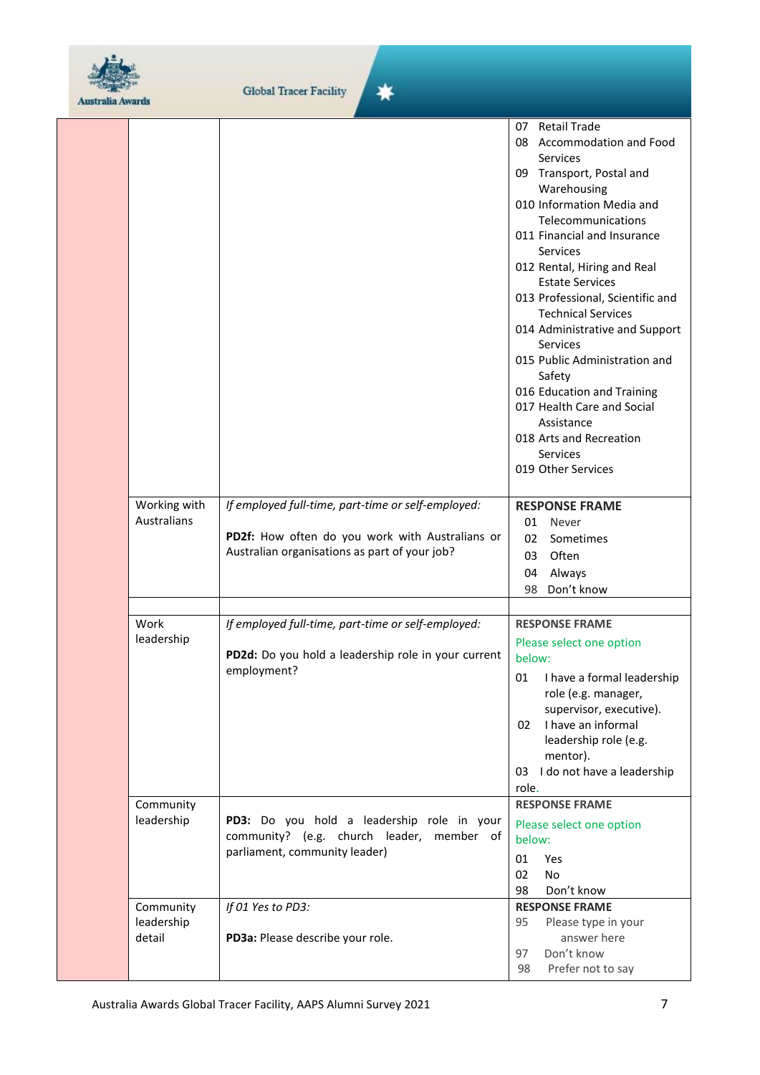

| <b>Australia Awards</b> |                                   |                                                                                                                                                        |                                                                                                                                                                                                                                                                                                                                                                                                                                                                                                                                                                    |
|-------------------------|-----------------------------------|--------------------------------------------------------------------------------------------------------------------------------------------------------|--------------------------------------------------------------------------------------------------------------------------------------------------------------------------------------------------------------------------------------------------------------------------------------------------------------------------------------------------------------------------------------------------------------------------------------------------------------------------------------------------------------------------------------------------------------------|
|                         |                                   |                                                                                                                                                        | 07 Retail Trade<br>08 Accommodation and Food<br>Services<br>09 Transport, Postal and<br>Warehousing<br>010 Information Media and<br>Telecommunications<br>011 Financial and Insurance<br>Services<br>012 Rental, Hiring and Real<br><b>Estate Services</b><br>013 Professional, Scientific and<br><b>Technical Services</b><br>014 Administrative and Support<br><b>Services</b><br>015 Public Administration and<br>Safety<br>016 Education and Training<br>017 Health Care and Social<br>Assistance<br>018 Arts and Recreation<br>Services<br>019 Other Services |
|                         | Working with<br>Australians       | If employed full-time, part-time or self-employed:<br>PD2f: How often do you work with Australians or<br>Australian organisations as part of your job? | <b>RESPONSE FRAME</b><br>01<br>Never<br>02<br>Sometimes<br>03<br>Often<br>Always<br>04<br>Don't know<br>98                                                                                                                                                                                                                                                                                                                                                                                                                                                         |
|                         | Work<br>leadership                | If employed full-time, part-time or self-employed:<br>PD2d: Do you hold a leadership role in your current<br>employment?                               | <b>RESPONSE FRAME</b><br>Please select one option<br>below:<br>I have a formal leadership<br>01<br>role (e.g. manager,<br>supervisor, executive).<br>I have an informal<br>02<br>leadership role (e.g.<br>mentor).<br>03 I do not have a leadership<br>role.                                                                                                                                                                                                                                                                                                       |
|                         | Community<br>leadership           | PD3: Do you hold a leadership role in your<br>community? (e.g. church leader, member of<br>parliament, community leader)                               | <b>RESPONSE FRAME</b><br>Please select one option<br>below:<br>01<br>Yes<br>02<br>No<br>98<br>Don't know                                                                                                                                                                                                                                                                                                                                                                                                                                                           |
|                         | Community<br>leadership<br>detail | If 01 Yes to PD3:<br>PD3a: Please describe your role.                                                                                                  | <b>RESPONSE FRAME</b><br>Please type in your<br>95<br>answer here<br>Don't know<br>97<br>Prefer not to say<br>98                                                                                                                                                                                                                                                                                                                                                                                                                                                   |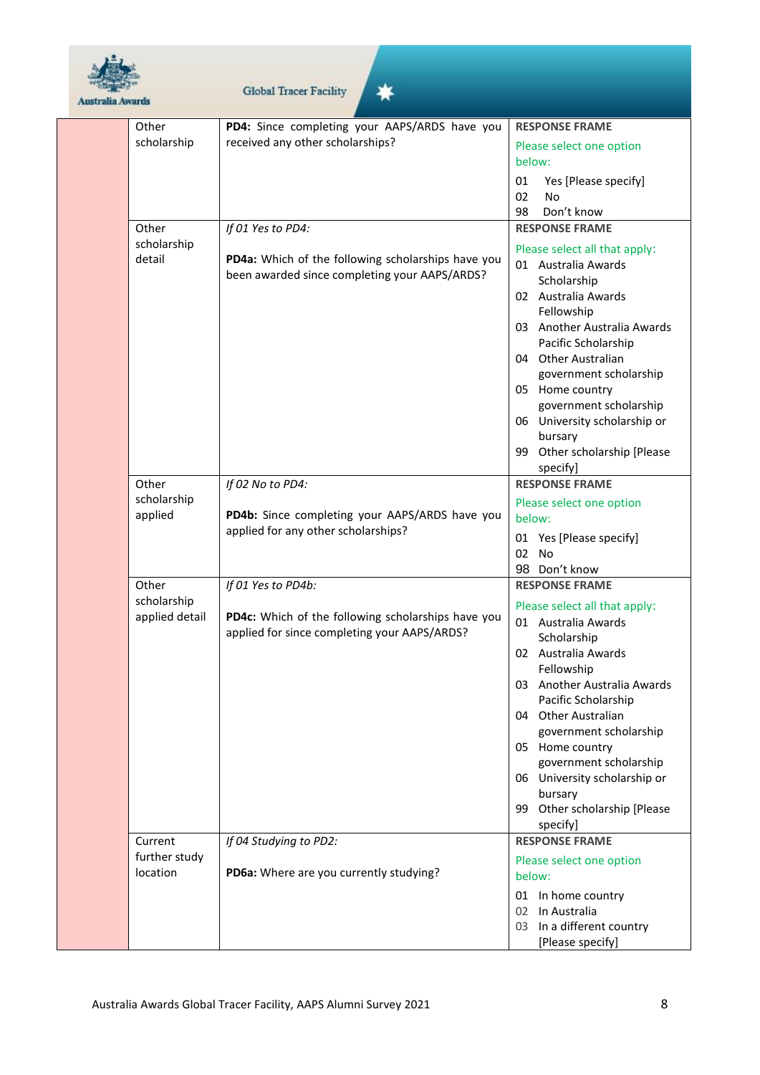

## Global Tracer Facility

☀

| Other          | PD4: Since completing your AAPS/ARDS have you      | <b>RESPONSE FRAME</b>         |
|----------------|----------------------------------------------------|-------------------------------|
| scholarship    | received any other scholarships?                   | Please select one option      |
|                |                                                    | below:                        |
|                |                                                    | 01<br>Yes [Please specify]    |
|                |                                                    | 02<br>No                      |
|                |                                                    | Don't know<br>98              |
| Other          | If 01 Yes to PD4:                                  | <b>RESPONSE FRAME</b>         |
| scholarship    |                                                    | Please select all that apply: |
| detail         | PD4a: Which of the following scholarships have you | 01 Australia Awards           |
|                | been awarded since completing your AAPS/ARDS?      | Scholarship                   |
|                |                                                    | 02 Australia Awards           |
|                |                                                    | Fellowship                    |
|                |                                                    | 03 Another Australia Awards   |
|                |                                                    | Pacific Scholarship           |
|                |                                                    | 04 Other Australian           |
|                |                                                    | government scholarship        |
|                |                                                    | 05 Home country               |
|                |                                                    | government scholarship        |
|                |                                                    | 06 University scholarship or  |
|                |                                                    | bursary                       |
|                |                                                    | 99 Other scholarship [Please  |
|                |                                                    | specify]                      |
| Other          | If 02 No to PD4:                                   | <b>RESPONSE FRAME</b>         |
| scholarship    |                                                    | Please select one option      |
| applied        | PD4b: Since completing your AAPS/ARDS have you     | below:                        |
|                | applied for any other scholarships?                | 01 Yes [Please specify]       |
|                |                                                    | 02 No                         |
|                |                                                    | 98 Don't know                 |
| Other          | If 01 Yes to PD4b:                                 | <b>RESPONSE FRAME</b>         |
| scholarship    |                                                    | Please select all that apply: |
| applied detail | PD4c: Which of the following scholarships have you | 01 Australia Awards           |
|                | applied for since completing your AAPS/ARDS?       | Scholarship                   |
|                |                                                    | 02 Australia Awards           |
|                |                                                    | Fellowship                    |
|                |                                                    | 03 Another Australia Awards   |
|                |                                                    | Pacific Scholarship           |
|                |                                                    | 04 Other Australian           |
|                |                                                    | government scholarship        |
|                |                                                    | 05 Home country               |
|                |                                                    | government scholarship        |
|                |                                                    | 06 University scholarship or  |
|                |                                                    | bursary                       |
|                |                                                    | 99 Other scholarship [Please  |
|                |                                                    | specify]                      |
| Current        | If 04 Studying to PD2:                             | <b>RESPONSE FRAME</b>         |
| further study  |                                                    | Please select one option      |
| location       | PD6a: Where are you currently studying?            | below:                        |
|                |                                                    | 01 In home country            |
|                |                                                    | 02 In Australia               |
|                |                                                    | 03 In a different country     |
|                |                                                    | [Please specify]              |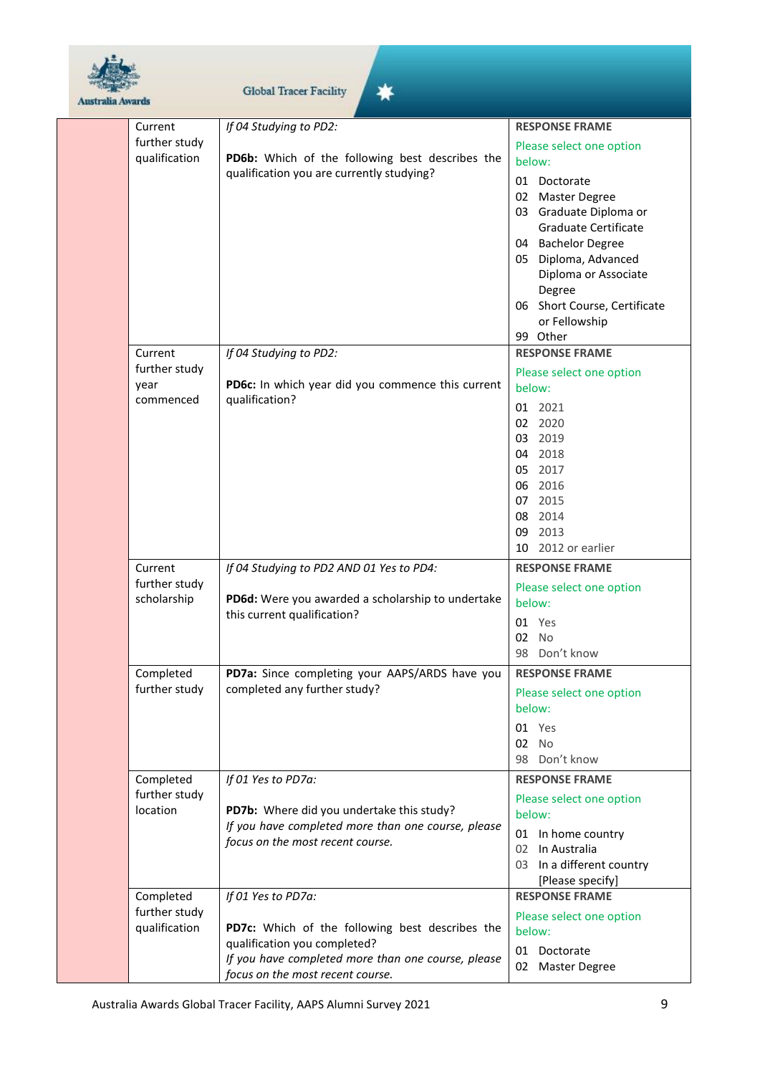

| lia Awards                                    | <b>Global Tracer Facility</b>                                                                                                                                                                   |                                                                                                                                                                                                                                                                       |
|-----------------------------------------------|-------------------------------------------------------------------------------------------------------------------------------------------------------------------------------------------------|-----------------------------------------------------------------------------------------------------------------------------------------------------------------------------------------------------------------------------------------------------------------------|
| Current                                       | If 04 Studying to PD2:                                                                                                                                                                          | <b>RESPONSE FRAME</b>                                                                                                                                                                                                                                                 |
| further study<br>qualification                | PD6b: Which of the following best describes the<br>qualification you are currently studying?                                                                                                    | Please select one option<br>below:<br>01 Doctorate<br>02 Master Degree<br>03 Graduate Diploma or<br>Graduate Certificate<br>04 Bachelor Degree<br>05 Diploma, Advanced<br>Diploma or Associate<br>Degree<br>06 Short Course, Certificate<br>or Fellowship<br>99 Other |
| Current<br>further study<br>year<br>commenced | If 04 Studying to PD2:<br>PD6c: In which year did you commence this current<br>qualification?                                                                                                   | <b>RESPONSE FRAME</b><br>Please select one option<br>below:<br>01 2021<br>02 2020<br>03 2019<br>04 2018<br>05 2017<br>06 2016<br>07 2015<br>08 2014<br>09 2013<br>10 2012 or earlier                                                                                  |
| Current<br>further study<br>scholarship       | If 04 Studying to PD2 AND 01 Yes to PD4:<br>PD6d: Were you awarded a scholarship to undertake<br>this current qualification?                                                                    | <b>RESPONSE FRAME</b><br>Please select one option<br>below:<br>01 Yes<br>02 No<br>98 Don't know                                                                                                                                                                       |
| Completed<br>further study                    | PD7a: Since completing your AAPS/ARDS have you<br>completed any further study?                                                                                                                  | <b>RESPONSE FRAME</b><br>Please select one option<br>below:<br>01 Yes<br>02 No<br>98 Don't know                                                                                                                                                                       |
| Completed<br>further study<br>location        | If 01 Yes to PD7a:<br>PD7b: Where did you undertake this study?<br>If you have completed more than one course, please<br>focus on the most recent course.                                       | <b>RESPONSE FRAME</b><br>Please select one option<br>below:<br>01 In home country<br>02 In Australia<br>03 In a different country<br>[Please specify]                                                                                                                 |
| Completed<br>further study<br>qualification   | If 01 Yes to PD7a:<br>PD7c: Which of the following best describes the<br>qualification you completed?<br>If you have completed more than one course, please<br>focus on the most recent course. | <b>RESPONSE FRAME</b><br>Please select one option<br>below:<br>01 Doctorate<br>02 Master Degree                                                                                                                                                                       |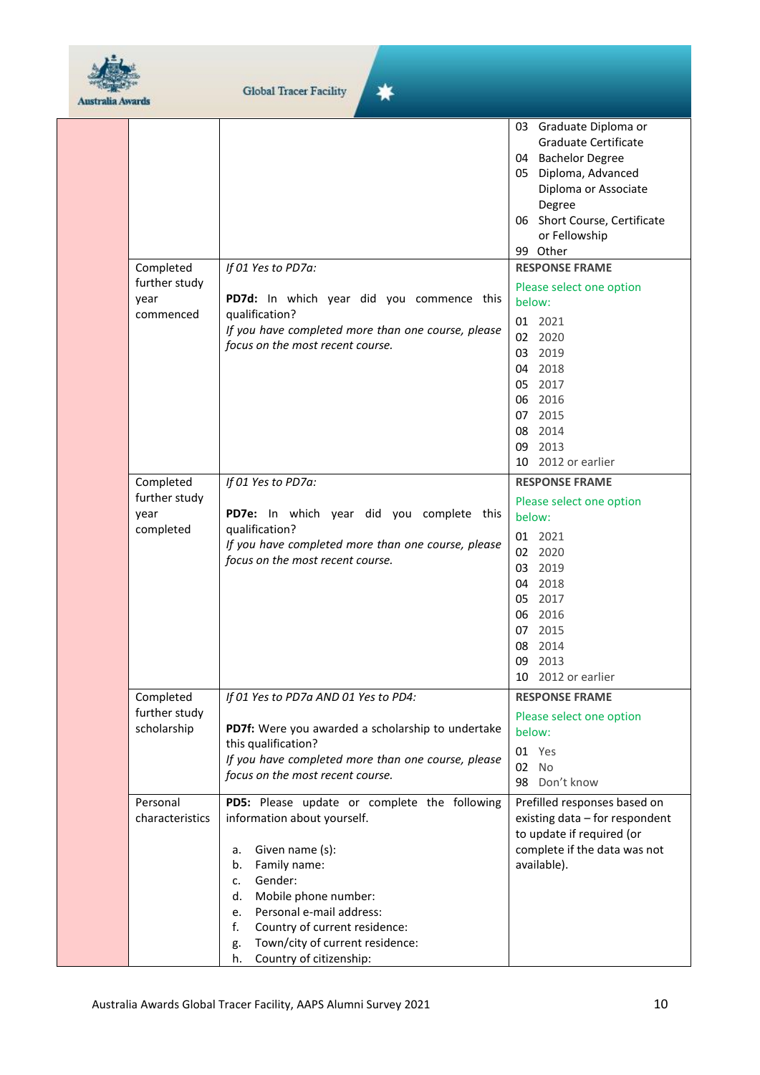

事

| AUSBRUR AVERES |                                                                                                    |                                                                                                                                                                                                                                                                                                                                                            |                                                                                                                                                                                                                                                                                                                                                                                                                                                                                     |
|----------------|----------------------------------------------------------------------------------------------------|------------------------------------------------------------------------------------------------------------------------------------------------------------------------------------------------------------------------------------------------------------------------------------------------------------------------------------------------------------|-------------------------------------------------------------------------------------------------------------------------------------------------------------------------------------------------------------------------------------------------------------------------------------------------------------------------------------------------------------------------------------------------------------------------------------------------------------------------------------|
|                | Completed<br>further study<br>year<br>commenced<br>Completed<br>further study<br>year<br>completed | If 01 Yes to PD7a:<br>PD7d: In which year did you commence this<br>qualification?<br>If you have completed more than one course, please<br>focus on the most recent course.<br>If 01 Yes to PD7a:<br>PD7e: In which year did you complete this<br>qualification?<br>If you have completed more than one course, please<br>focus on the most recent course. | 03 Graduate Diploma or<br>Graduate Certificate<br>04 Bachelor Degree<br>05 Diploma, Advanced<br>Diploma or Associate<br>Degree<br>06 Short Course, Certificate<br>or Fellowship<br>99 Other<br><b>RESPONSE FRAME</b><br>Please select one option<br>below:<br>01 2021<br>02 2020<br>03 2019<br>04 2018<br>05 2017<br>06 2016<br>07 2015<br>08 2014<br>09 2013<br>10 2012 or earlier<br><b>RESPONSE FRAME</b><br>Please select one option<br>below:<br>01 2021<br>02 2020<br>03 2019 |
|                | Completed                                                                                          | If 01 Yes to PD7a AND 01 Yes to PD4:                                                                                                                                                                                                                                                                                                                       | 04 2018<br>05 2017<br>06 2016<br>07 2015<br>08 2014<br>09 2013<br>10 2012 or earlier<br><b>RESPONSE FRAME</b>                                                                                                                                                                                                                                                                                                                                                                       |
|                | further study<br>scholarship                                                                       | PD7f: Were you awarded a scholarship to undertake<br>this qualification?<br>If you have completed more than one course, please<br>focus on the most recent course.                                                                                                                                                                                         | Please select one option<br>below:<br>01 Yes<br>02 No<br>98 Don't know                                                                                                                                                                                                                                                                                                                                                                                                              |
|                | Personal<br>characteristics                                                                        | PD5: Please update or complete the following<br>information about yourself.<br>Given name (s):<br>а.<br>Family name:<br>b.<br>Gender:<br>c.<br>Mobile phone number:<br>d.<br>e. Personal e-mail address:<br>f.<br>Country of current residence:<br>Town/city of current residence:<br>g.<br>Country of citizenship:<br>h.                                  | Prefilled responses based on<br>existing data - for respondent<br>to update if required (or<br>complete if the data was not<br>available).                                                                                                                                                                                                                                                                                                                                          |